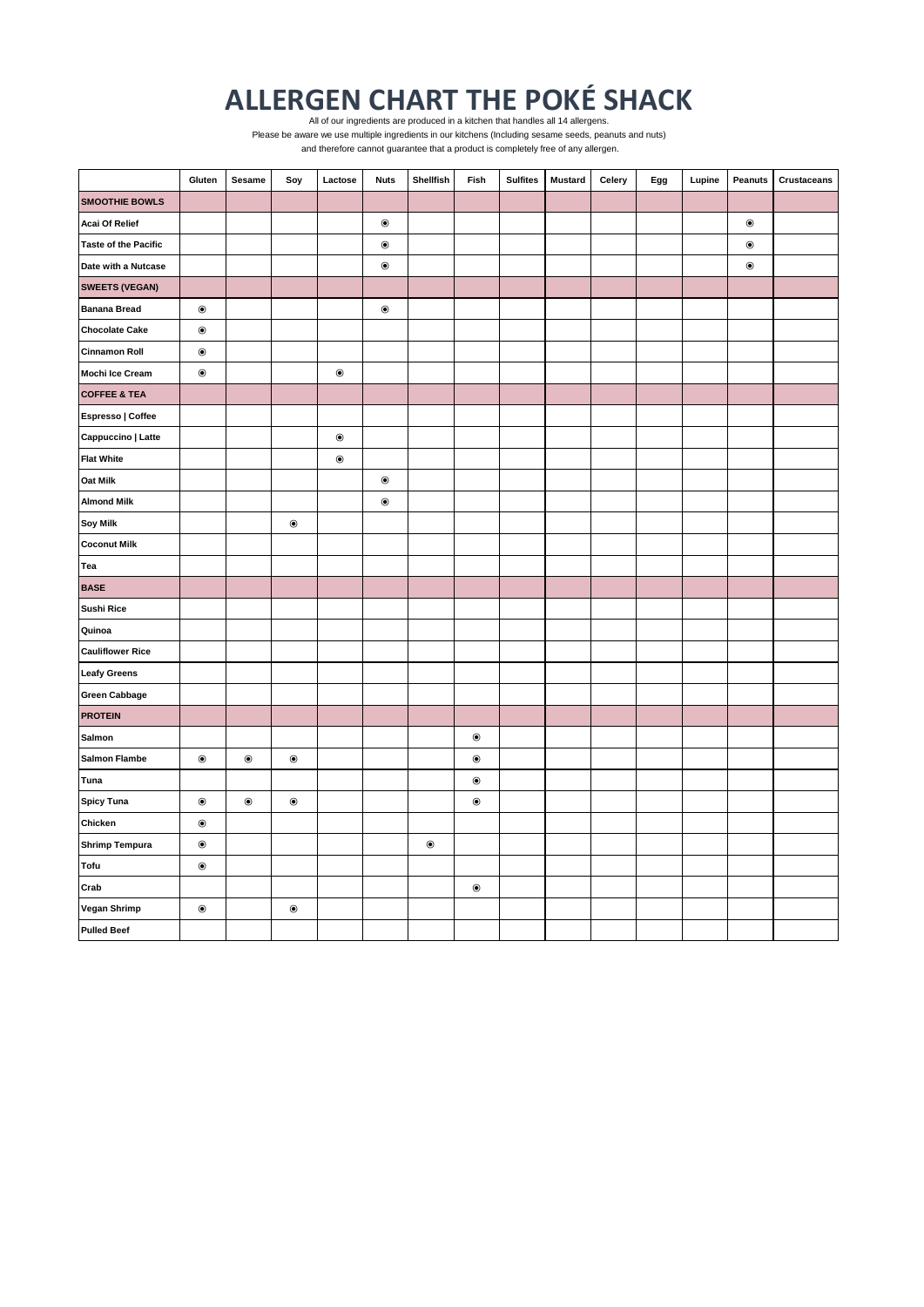## **ALLERGEN CHART THE POKÉ SHACK** All of our ingredients are produced in a kitchen that handles all 14 allergens.

 and therefore cannot guarantee that a product is completely free of any allergen. Please be aware we use multiple ingredients in our kitchens (Including sesame seeds, peanuts and nuts)

|                             | Gluten           | Sesame           | Soy              | Lactose                   | <b>Nuts</b>               | Shellfish        | Fish           | <b>Sulfites</b> | <b>Mustard</b> | Celery | Egg | Lupine | Peanuts          | <b>Crustaceans</b> |
|-----------------------------|------------------|------------------|------------------|---------------------------|---------------------------|------------------|----------------|-----------------|----------------|--------|-----|--------|------------------|--------------------|
| <b>SMOOTHIE BOWLS</b>       |                  |                  |                  |                           |                           |                  |                |                 |                |        |     |        |                  |                    |
| <b>Acai Of Relief</b>       |                  |                  |                  |                           | $\circledbullet$          |                  |                |                 |                |        |     |        | $\circledbullet$ |                    |
| <b>Taste of the Pacific</b> |                  |                  |                  |                           | $\circledcirc$            |                  |                |                 |                |        |     |        | $\circledbullet$ |                    |
| Date with a Nutcase         |                  |                  |                  |                           | $\circledcirc$            |                  |                |                 |                |        |     |        | $\circledcirc$   |                    |
| <b>SWEETS (VEGAN)</b>       |                  |                  |                  |                           |                           |                  |                |                 |                |        |     |        |                  |                    |
| <b>Banana Bread</b>         | $\circledbullet$ |                  |                  |                           | $\textcircled{\small{0}}$ |                  |                |                 |                |        |     |        |                  |                    |
| <b>Chocolate Cake</b>       | $\bullet$        |                  |                  |                           |                           |                  |                |                 |                |        |     |        |                  |                    |
| <b>Cinnamon Roll</b>        | $\circledcirc$   |                  |                  |                           |                           |                  |                |                 |                |        |     |        |                  |                    |
| Mochi Ice Cream             | $\circledbullet$ |                  |                  | $\circledbullet$          |                           |                  |                |                 |                |        |     |        |                  |                    |
| <b>COFFEE &amp; TEA</b>     |                  |                  |                  |                           |                           |                  |                |                 |                |        |     |        |                  |                    |
| Espresso   Coffee           |                  |                  |                  |                           |                           |                  |                |                 |                |        |     |        |                  |                    |
| Cappuccino   Latte          |                  |                  |                  | $\bullet$                 |                           |                  |                |                 |                |        |     |        |                  |                    |
| <b>Flat White</b>           |                  |                  |                  | $\textcircled{\small{0}}$ |                           |                  |                |                 |                |        |     |        |                  |                    |
| <b>Oat Milk</b>             |                  |                  |                  |                           | $\circledbullet$          |                  |                |                 |                |        |     |        |                  |                    |
| <b>Almond Milk</b>          |                  |                  |                  |                           | $\textcircled{\small{0}}$ |                  |                |                 |                |        |     |        |                  |                    |
| <b>Soy Milk</b>             |                  |                  | $\circledbullet$ |                           |                           |                  |                |                 |                |        |     |        |                  |                    |
| <b>Coconut Milk</b>         |                  |                  |                  |                           |                           |                  |                |                 |                |        |     |        |                  |                    |
| Tea                         |                  |                  |                  |                           |                           |                  |                |                 |                |        |     |        |                  |                    |
| <b>BASE</b>                 |                  |                  |                  |                           |                           |                  |                |                 |                |        |     |        |                  |                    |
| <b>Sushi Rice</b>           |                  |                  |                  |                           |                           |                  |                |                 |                |        |     |        |                  |                    |
| Quinoa                      |                  |                  |                  |                           |                           |                  |                |                 |                |        |     |        |                  |                    |
| <b>Cauliflower Rice</b>     |                  |                  |                  |                           |                           |                  |                |                 |                |        |     |        |                  |                    |
| <b>Leafy Greens</b>         |                  |                  |                  |                           |                           |                  |                |                 |                |        |     |        |                  |                    |
| <b>Green Cabbage</b>        |                  |                  |                  |                           |                           |                  |                |                 |                |        |     |        |                  |                    |
| <b>PROTEIN</b>              |                  |                  |                  |                           |                           |                  |                |                 |                |        |     |        |                  |                    |
| Salmon                      |                  |                  |                  |                           |                           |                  | $\circledcirc$ |                 |                |        |     |        |                  |                    |
| <b>Salmon Flambe</b>        | $\circledbullet$ | $\circledbullet$ | $\circledbullet$ |                           |                           |                  | $\bullet$      |                 |                |        |     |        |                  |                    |
| Tuna                        |                  |                  |                  |                           |                           |                  | $\circledcirc$ |                 |                |        |     |        |                  |                    |
| <b>Spicy Tuna</b>           | $\circledbullet$ | $\circledbullet$ | $\circledbullet$ |                           |                           |                  | $\circledcirc$ |                 |                |        |     |        |                  |                    |
| Chicken                     | $\circledcirc$   |                  |                  |                           |                           |                  |                |                 |                |        |     |        |                  |                    |
| <b>Shrimp Tempura</b>       | $\circledbullet$ |                  |                  |                           |                           | $\circledbullet$ |                |                 |                |        |     |        |                  |                    |
| Tofu                        | $\circledbullet$ |                  |                  |                           |                           |                  |                |                 |                |        |     |        |                  |                    |
| Crab                        |                  |                  |                  |                           |                           |                  | $\circledcirc$ |                 |                |        |     |        |                  |                    |
| <b>Vegan Shrimp</b>         | $\circledcirc$   |                  | $\circledbullet$ |                           |                           |                  |                |                 |                |        |     |        |                  |                    |
| <b>Pulled Beef</b>          |                  |                  |                  |                           |                           |                  |                |                 |                |        |     |        |                  |                    |